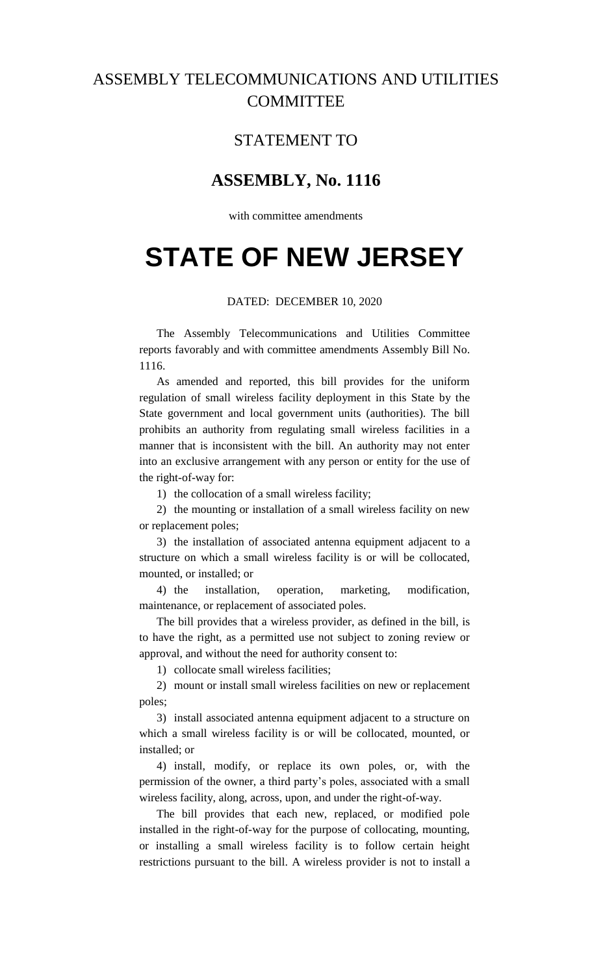## ASSEMBLY TELECOMMUNICATIONS AND UTILITIES **COMMITTEE**

### STATEMENT TO

## **ASSEMBLY, No. 1116**

with committee amendments

# **STATE OF NEW JERSEY**

### DATED: DECEMBER 10, 2020

The Assembly Telecommunications and Utilities Committee reports favorably and with committee amendments Assembly Bill No. 1116.

As amended and reported, this bill provides for the uniform regulation of small wireless facility deployment in this State by the State government and local government units (authorities). The bill prohibits an authority from regulating small wireless facilities in a manner that is inconsistent with the bill. An authority may not enter into an exclusive arrangement with any person or entity for the use of the right-of-way for:

1) the collocation of a small wireless facility;

2) the mounting or installation of a small wireless facility on new or replacement poles;

3) the installation of associated antenna equipment adjacent to a structure on which a small wireless facility is or will be collocated, mounted, or installed; or

4) the installation, operation, marketing, modification, maintenance, or replacement of associated poles.

The bill provides that a wireless provider, as defined in the bill, is to have the right, as a permitted use not subject to zoning review or approval, and without the need for authority consent to:

1) collocate small wireless facilities;

2) mount or install small wireless facilities on new or replacement poles;

3) install associated antenna equipment adjacent to a structure on which a small wireless facility is or will be collocated, mounted, or installed; or

4) install, modify, or replace its own poles, or, with the permission of the owner, a third party's poles, associated with a small wireless facility, along, across, upon, and under the right-of-way.

The bill provides that each new, replaced, or modified pole installed in the right-of-way for the purpose of collocating, mounting, or installing a small wireless facility is to follow certain height restrictions pursuant to the bill. A wireless provider is not to install a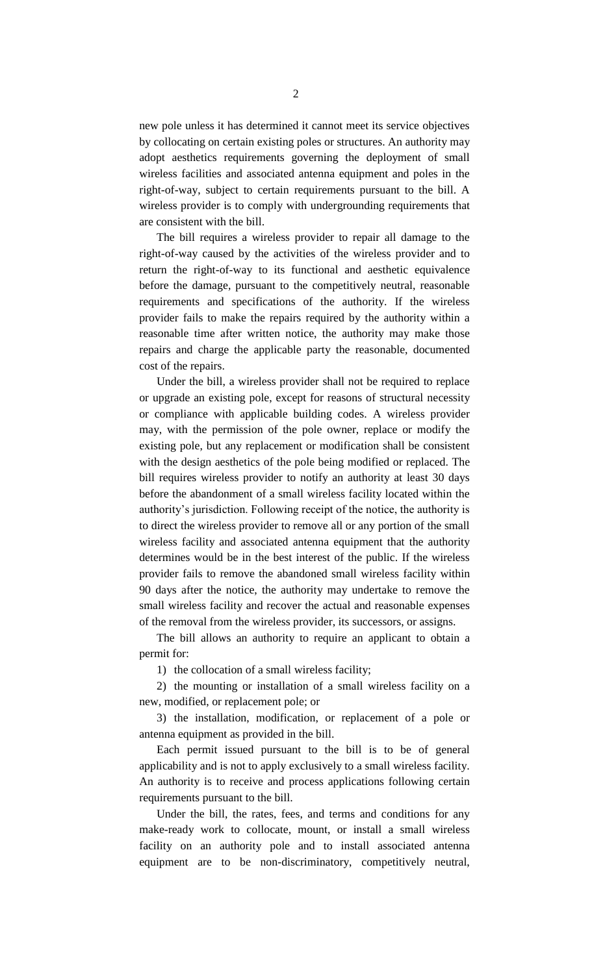new pole unless it has determined it cannot meet its service objectives by collocating on certain existing poles or structures. An authority may adopt aesthetics requirements governing the deployment of small wireless facilities and associated antenna equipment and poles in the right-of-way, subject to certain requirements pursuant to the bill. A wireless provider is to comply with undergrounding requirements that are consistent with the bill.

The bill requires a wireless provider to repair all damage to the right-of-way caused by the activities of the wireless provider and to return the right-of-way to its functional and aesthetic equivalence before the damage, pursuant to the competitively neutral, reasonable requirements and specifications of the authority. If the wireless provider fails to make the repairs required by the authority within a reasonable time after written notice, the authority may make those repairs and charge the applicable party the reasonable, documented cost of the repairs.

Under the bill, a wireless provider shall not be required to replace or upgrade an existing pole, except for reasons of structural necessity or compliance with applicable building codes. A wireless provider may, with the permission of the pole owner, replace or modify the existing pole, but any replacement or modification shall be consistent with the design aesthetics of the pole being modified or replaced. The bill requires wireless provider to notify an authority at least 30 days before the abandonment of a small wireless facility located within the authority's jurisdiction. Following receipt of the notice, the authority is to direct the wireless provider to remove all or any portion of the small wireless facility and associated antenna equipment that the authority determines would be in the best interest of the public. If the wireless provider fails to remove the abandoned small wireless facility within 90 days after the notice, the authority may undertake to remove the small wireless facility and recover the actual and reasonable expenses of the removal from the wireless provider, its successors, or assigns.

The bill allows an authority to require an applicant to obtain a permit for:

1) the collocation of a small wireless facility;

2) the mounting or installation of a small wireless facility on a new, modified, or replacement pole; or

3) the installation, modification, or replacement of a pole or antenna equipment as provided in the bill.

Each permit issued pursuant to the bill is to be of general applicability and is not to apply exclusively to a small wireless facility. An authority is to receive and process applications following certain requirements pursuant to the bill.

Under the bill, the rates, fees, and terms and conditions for any make-ready work to collocate, mount, or install a small wireless facility on an authority pole and to install associated antenna equipment are to be non-discriminatory, competitively neutral,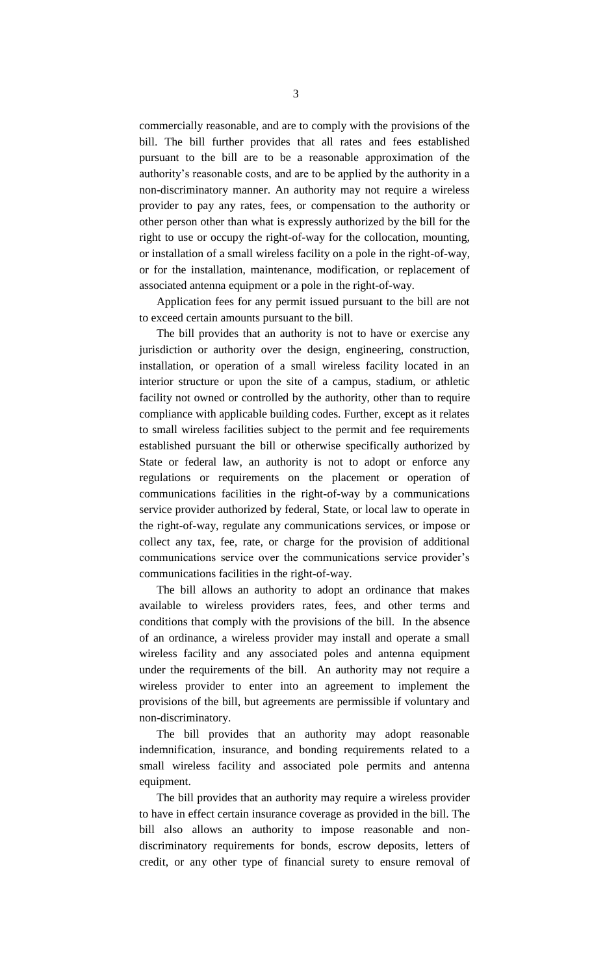commercially reasonable, and are to comply with the provisions of the bill. The bill further provides that all rates and fees established pursuant to the bill are to be a reasonable approximation of the authority's reasonable costs, and are to be applied by the authority in a non-discriminatory manner. An authority may not require a wireless provider to pay any rates, fees, or compensation to the authority or other person other than what is expressly authorized by the bill for the right to use or occupy the right-of-way for the collocation, mounting, or installation of a small wireless facility on a pole in the right-of-way, or for the installation, maintenance, modification, or replacement of associated antenna equipment or a pole in the right-of-way.

Application fees for any permit issued pursuant to the bill are not to exceed certain amounts pursuant to the bill.

The bill provides that an authority is not to have or exercise any jurisdiction or authority over the design, engineering, construction, installation, or operation of a small wireless facility located in an interior structure or upon the site of a campus, stadium, or athletic facility not owned or controlled by the authority, other than to require compliance with applicable building codes. Further, except as it relates to small wireless facilities subject to the permit and fee requirements established pursuant the bill or otherwise specifically authorized by State or federal law, an authority is not to adopt or enforce any regulations or requirements on the placement or operation of communications facilities in the right-of-way by a communications service provider authorized by federal, State, or local law to operate in the right-of-way, regulate any communications services, or impose or collect any tax, fee, rate, or charge for the provision of additional communications service over the communications service provider's communications facilities in the right-of-way.

The bill allows an authority to adopt an ordinance that makes available to wireless providers rates, fees, and other terms and conditions that comply with the provisions of the bill. In the absence of an ordinance, a wireless provider may install and operate a small wireless facility and any associated poles and antenna equipment under the requirements of the bill. An authority may not require a wireless provider to enter into an agreement to implement the provisions of the bill, but agreements are permissible if voluntary and non-discriminatory.

The bill provides that an authority may adopt reasonable indemnification, insurance, and bonding requirements related to a small wireless facility and associated pole permits and antenna equipment.

The bill provides that an authority may require a wireless provider to have in effect certain insurance coverage as provided in the bill. The bill also allows an authority to impose reasonable and nondiscriminatory requirements for bonds, escrow deposits, letters of credit, or any other type of financial surety to ensure removal of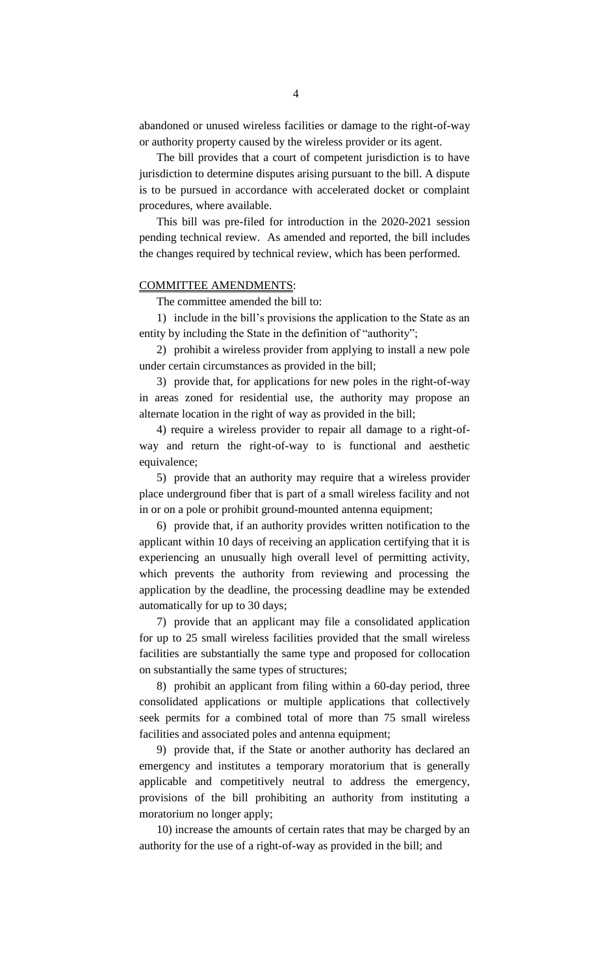abandoned or unused wireless facilities or damage to the right-of-way or authority property caused by the wireless provider or its agent.

The bill provides that a court of competent jurisdiction is to have jurisdiction to determine disputes arising pursuant to the bill. A dispute is to be pursued in accordance with accelerated docket or complaint procedures, where available.

This bill was pre-filed for introduction in the 2020-2021 session pending technical review. As amended and reported, the bill includes the changes required by technical review, which has been performed.

#### COMMITTEE AMENDMENTS:

The committee amended the bill to:

1) include in the bill's provisions the application to the State as an entity by including the State in the definition of "authority";

2) prohibit a wireless provider from applying to install a new pole under certain circumstances as provided in the bill;

3) provide that, for applications for new poles in the right-of-way in areas zoned for residential use, the authority may propose an alternate location in the right of way as provided in the bill;

4) require a wireless provider to repair all damage to a right-ofway and return the right-of-way to is functional and aesthetic equivalence;

5) provide that an authority may require that a wireless provider place underground fiber that is part of a small wireless facility and not in or on a pole or prohibit ground-mounted antenna equipment;

6) provide that, if an authority provides written notification to the applicant within 10 days of receiving an application certifying that it is experiencing an unusually high overall level of permitting activity, which prevents the authority from reviewing and processing the application by the deadline, the processing deadline may be extended automatically for up to 30 days;

7) provide that an applicant may file a consolidated application for up to 25 small wireless facilities provided that the small wireless facilities are substantially the same type and proposed for collocation on substantially the same types of structures;

8) prohibit an applicant from filing within a 60-day period, three consolidated applications or multiple applications that collectively seek permits for a combined total of more than 75 small wireless facilities and associated poles and antenna equipment;

9) provide that, if the State or another authority has declared an emergency and institutes a temporary moratorium that is generally applicable and competitively neutral to address the emergency, provisions of the bill prohibiting an authority from instituting a moratorium no longer apply;

10) increase the amounts of certain rates that may be charged by an authority for the use of a right-of-way as provided in the bill; and